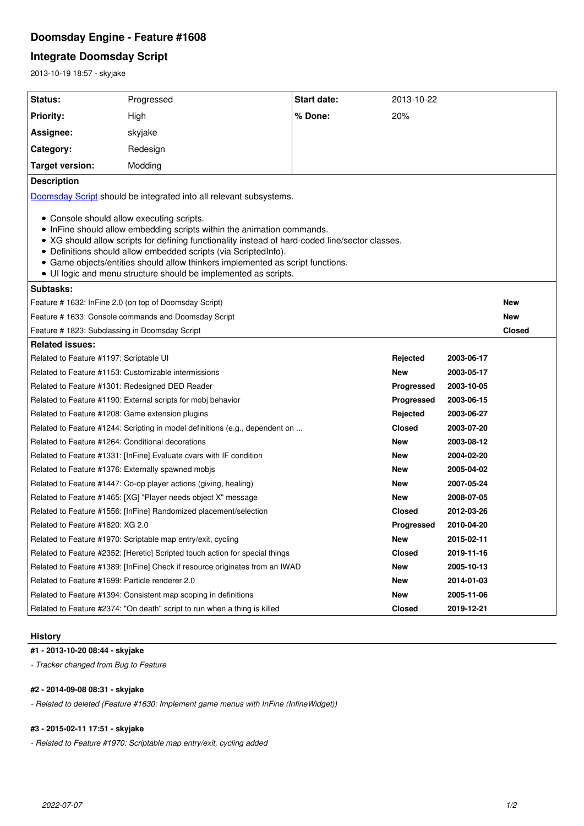# **Doomsday Engine - Feature #1608**

# **Integrate Doomsday Script**

2013-10-19 18:57 - skyjake

| Status:                                                                                                                                                                                                                                                                                                                                                                                                                                        | Progressed                                                                | Start date:   | 2013-10-22    |            |               |
|------------------------------------------------------------------------------------------------------------------------------------------------------------------------------------------------------------------------------------------------------------------------------------------------------------------------------------------------------------------------------------------------------------------------------------------------|---------------------------------------------------------------------------|---------------|---------------|------------|---------------|
|                                                                                                                                                                                                                                                                                                                                                                                                                                                |                                                                           |               |               |            |               |
| <b>Priority:</b>                                                                                                                                                                                                                                                                                                                                                                                                                               | High                                                                      | % Done:       | 20%           |            |               |
| Assignee:                                                                                                                                                                                                                                                                                                                                                                                                                                      | skyjake                                                                   |               |               |            |               |
| Category:                                                                                                                                                                                                                                                                                                                                                                                                                                      | Redesign                                                                  |               |               |            |               |
| <b>Target version:</b>                                                                                                                                                                                                                                                                                                                                                                                                                         | Modding                                                                   |               |               |            |               |
| <b>Description</b>                                                                                                                                                                                                                                                                                                                                                                                                                             |                                                                           |               |               |            |               |
| Doomsday Script should be integrated into all relevant subsystems.                                                                                                                                                                                                                                                                                                                                                                             |                                                                           |               |               |            |               |
| • Console should allow executing scripts.<br>• InFine should allow embedding scripts within the animation commands.<br>• XG should allow scripts for defining functionality instead of hard-coded line/sector classes.<br>• Definitions should allow embedded scripts (via ScriptedInfo).<br>• Game objects/entities should allow thinkers implemented as script functions.<br>• Ul logic and menu structure should be implemented as scripts. |                                                                           |               |               |            |               |
| Subtasks:                                                                                                                                                                                                                                                                                                                                                                                                                                      |                                                                           |               |               |            |               |
| Feature # 1632: InFine 2.0 (on top of Doomsday Script)                                                                                                                                                                                                                                                                                                                                                                                         |                                                                           |               |               |            | New           |
| Feature # 1633: Console commands and Doomsday Script                                                                                                                                                                                                                                                                                                                                                                                           |                                                                           |               |               |            | <b>New</b>    |
| Feature # 1823: Subclassing in Doomsday Script                                                                                                                                                                                                                                                                                                                                                                                                 |                                                                           |               |               |            | <b>Closed</b> |
| <b>Related issues:</b>                                                                                                                                                                                                                                                                                                                                                                                                                         |                                                                           |               |               |            |               |
| Related to Feature #1197: Scriptable UI                                                                                                                                                                                                                                                                                                                                                                                                        |                                                                           |               | Rejected      | 2003-06-17 |               |
| Related to Feature #1153: Customizable intermissions                                                                                                                                                                                                                                                                                                                                                                                           |                                                                           |               | <b>New</b>    | 2003-05-17 |               |
| Related to Feature #1301: Redesigned DED Reader                                                                                                                                                                                                                                                                                                                                                                                                |                                                                           |               | Progressed    | 2003-10-05 |               |
| Related to Feature #1190: External scripts for mobj behavior                                                                                                                                                                                                                                                                                                                                                                                   |                                                                           |               | Progressed    | 2003-06-15 |               |
| Related to Feature #1208: Game extension plugins                                                                                                                                                                                                                                                                                                                                                                                               |                                                                           |               | Rejected      | 2003-06-27 |               |
| Related to Feature #1244: Scripting in model definitions (e.g., dependent on                                                                                                                                                                                                                                                                                                                                                                   |                                                                           |               | <b>Closed</b> | 2003-07-20 |               |
| Related to Feature #1264: Conditional decorations                                                                                                                                                                                                                                                                                                                                                                                              |                                                                           |               | <b>New</b>    | 2003-08-12 |               |
| Related to Feature #1331: [InFine] Evaluate cvars with IF condition                                                                                                                                                                                                                                                                                                                                                                            |                                                                           |               | <b>New</b>    | 2004-02-20 |               |
| Related to Feature #1376: Externally spawned mobjs                                                                                                                                                                                                                                                                                                                                                                                             |                                                                           |               | New           | 2005-04-02 |               |
| Related to Feature #1447: Co-op player actions (giving, healing)                                                                                                                                                                                                                                                                                                                                                                               |                                                                           |               | New           | 2007-05-24 |               |
| Related to Feature #1465: [XG] "Player needs object X" message                                                                                                                                                                                                                                                                                                                                                                                 |                                                                           | New           | 2008-07-05    |            |               |
| Related to Feature #1556: [InFine] Randomized placement/selection                                                                                                                                                                                                                                                                                                                                                                              |                                                                           | <b>Closed</b> | 2012-03-26    |            |               |
| Related to Feature #1620: XG 2.0                                                                                                                                                                                                                                                                                                                                                                                                               |                                                                           |               | Progressed    | 2010-04-20 |               |
| Related to Feature #1970: Scriptable map entry/exit, cycling                                                                                                                                                                                                                                                                                                                                                                                   |                                                                           | New           | 2015-02-11    |            |               |
| Related to Feature #2352: [Heretic] Scripted touch action for special things                                                                                                                                                                                                                                                                                                                                                                   |                                                                           | <b>Closed</b> | 2019-11-16    |            |               |
| Related to Feature #1389: [InFine] Check if resource originates from an IWAD                                                                                                                                                                                                                                                                                                                                                                   |                                                                           |               | New           | 2005-10-13 |               |
| Related to Feature #1699: Particle renderer 2.0                                                                                                                                                                                                                                                                                                                                                                                                |                                                                           |               | New           | 2014-01-03 |               |
| Related to Feature #1394: Consistent map scoping in definitions                                                                                                                                                                                                                                                                                                                                                                                |                                                                           |               | New           | 2005-11-06 |               |
|                                                                                                                                                                                                                                                                                                                                                                                                                                                | Related to Feature #2374: "On death" script to run when a thing is killed |               | <b>Closed</b> | 2019-12-21 |               |

## **History**

**#1 - 2013-10-20 08:44 - skyjake**

*- Tracker changed from Bug to Feature*

## **#2 - 2014-09-08 08:31 - skyjake**

*- Related to deleted (Feature #1630: Implement game menus with InFine (InfineWidget))*

# **#3 - 2015-02-11 17:51 - skyjake**

*- Related to Feature #1970: Scriptable map entry/exit, cycling added*